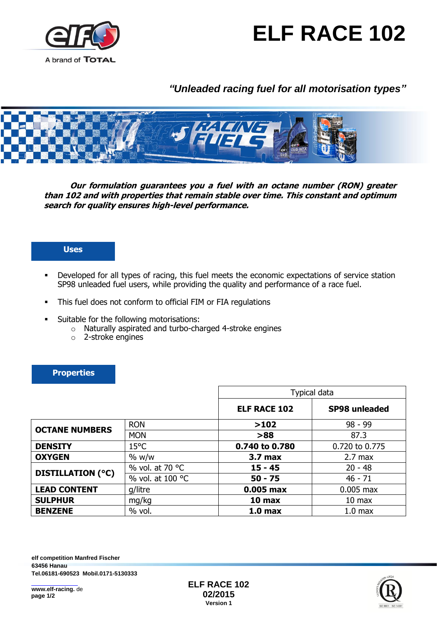



# *"Unleaded racing fuel for all motorisation types"*



**Our formulation guarantees you a fuel with an octane number (RON) greater than 102 and with properties that remain stable over time. This constant and optimum search for quality ensures high-level performance.** 

#### **Uses**

- Developed for all types of racing, this fuel meets the economic expectations of service station SP98 unleaded fuel users, while providing the quality and performance of a race fuel.
- This fuel does not conform to official FIM or FIA regulations
- **Suitable for the following motorisations:** 
	- o Naturally aspirated and turbo-charged 4-stroke engines
	- o 2-stroke engines

#### **Properties**

|                          |                  | Typical data        |                      |
|--------------------------|------------------|---------------------|----------------------|
|                          |                  | <b>ELF RACE 102</b> | <b>SP98 unleaded</b> |
| <b>OCTANE NUMBERS</b>    | <b>RON</b>       | >102                | $98 - 99$            |
|                          | <b>MON</b>       | $>88$               | 87.3                 |
| <b>DENSITY</b>           | $15^{\circ}$ C   | 0.740 to 0.780      | 0.720 to 0.775       |
| <b>OXYGEN</b>            | % w/w            | 3.7 <sub>max</sub>  | $2.7 \text{ max}$    |
| <b>DISTILLATION (°C)</b> | % vol. at 70 °C  | $15 - 45$           | $20 - 48$            |
|                          | % vol. at 100 °C | $50 - 75$           | $46 - 71$            |
| <b>LEAD CONTENT</b>      | g/litre          | 0.005 max           | $0.005$ max          |
| <b>SULPHUR</b>           | mg/kg            | 10 max              | $10 \text{ max}$     |
| <b>BENZENE</b>           | $%$ vol.         | 1.0 <sub>max</sub>  | 1.0 <sub>max</sub>   |